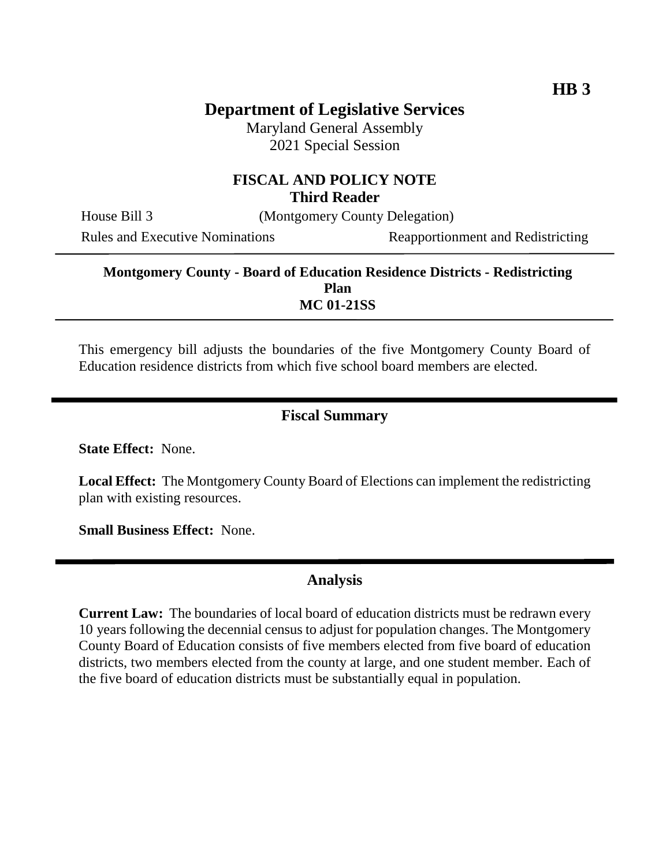## **Department of Legislative Services**

Maryland General Assembly 2021 Special Session

#### **FISCAL AND POLICY NOTE Third Reader**

House Bill 3 (Montgomery County Delegation)

Rules and Executive Nominations Reapportionment and Redistricting

#### **Montgomery County - Board of Education Residence Districts - Redistricting Plan MC 01-21SS**

This emergency bill adjusts the boundaries of the five Montgomery County Board of Education residence districts from which five school board members are elected.

#### **Fiscal Summary**

**State Effect:** None.

**Local Effect:** The Montgomery County Board of Elections can implement the redistricting plan with existing resources.

**Small Business Effect:** None.

### **Analysis**

**Current Law:** The boundaries of local board of education districts must be redrawn every 10 years following the decennial census to adjust for population changes. The Montgomery County Board of Education consists of five members elected from five board of education districts, two members elected from the county at large, and one student member. Each of the five board of education districts must be substantially equal in population.